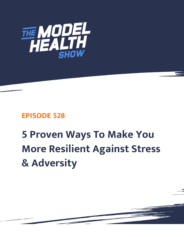

## **EPISODE 528**

## **5 Proven Ways To Make You More Resilient Against Stress & Adversity**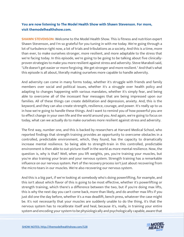## **You are now listening to The Model Health Show with Shawn Stevenson. For more, visit themodelhealthshow.com.**

**SHAWN STEVENSON:** Welcome to the Model Health Show. This is fitness and nutrition expert Shawn Stevenson, and I'm so grateful for you tuning in with me today. We're going through a lot of turbulence right now, a lot of trials and tribulations as a society. And this is a time, more than ever, to make ourselves stronger, more resilient, and more adaptable to the stress that we're facing today. In this episode, we're going to be going to be talking about five clinicallyproven strategies to make you more resilient against stress and adversity. Steve Maraboli said, "Life doesn't get easier or more forgiving. We get stronger and more resilient." And that's what this episode is all about, literally making ourselves more capable to handle adversity.

And adversity can come in many forms today, whether it's struggle with friends and family members over social and political issues, whether it's a struggle over health policy and adapting to changes happening with various mandates, whether it's simply fear, and being able to overcome all of the incessant fear messages that are being impressed upon our families. All of these things can create debilitation and depression, anxiety. And, this is the keyword, and they can also create strength, resilience, courage, and power. It's really up to us in how we're going to handle these things. And I want to remind you of how powerful you are to effect change in your own life and the world around you. And again, we're going to focus on today, what can we actually do to make ourselves more resilient against stress and adversity.

The first way, number one, and this is backed by researchers at Harvard Medical School, who reported findings that strength training provides an opportunity to overcome obstacles in a controlled, predictable environment, which, they found, has the capacity to dramatically increase mental resilience. So being able to strength-train in this controlled, predictable environment is then able to out-picture itself in the world as more mental resilience. Now, the question is, why is that? Well, when you lift weights, yes, you're training your muscles, but you're also training your brain and your nervous system. Strength training has a remarkable influence on our nervous system. Part of the recovery process isn't just about recovering from the micro-tears in our muscles. We're also recovering our nervous system.

And this is a big part, if we're looking at somebody who's doing powerlifting, for example, and this isn't about which flavor of this is going to be most effective, whether it's powerlifting or strength training, which there's a difference between the two, but if you're doing max lifts, this is why the next day you can't come back, more than likely, and do another max lifts if you just did one the day before, whether it's a max deadlift, bench press, whatever the case might be. It's not necessarily that your muscles are suddenly unable to do the thing, it's that the nervous system has to recalibrate itself and heal, because it's, really, in training your entire [system and encoding your system to be physiologically and psychologically capable, aware that](https://themodelhealthshow.com/resilient-stress/) 

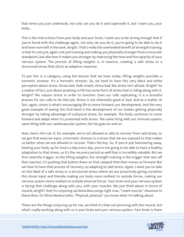that stress you just undertook, not only can you do it and supersede it, but I want you, your body...

This is the instructions from your body and your brain, I want you to be strong enough that if you're faced with this challenge again, not only can you do it, you're going to be able to do it and have more left in the tank. Alright. That's really the overlooked benefit of strength training, is that it's not just, again, not just training and making you physically stronger from a muscular standpoint, but also how it makes you stronger by improving the tone and the capacity of your nervous system. The process of lifting weights is, in essence, creating a safe stress or a structured stress that elicits an adaptive response.

To put this in a category, using the lexicon that we have today, lifting weights provides a hormetic stressor. It's a hormetic stressor. So, we tend to have this very black and white perception about stress. Stress bad. Hulk smash, stress bad. But stress isn't all bad. Alright? As a matter of fact, just about anything in life has some form of stress that is riding along with it. Alright? We require stress in order to function. Even our cells replicating, it is a stressful process for our cells to do that job. Stress is not inherently good or bad. And as a matter of fact, again, stress is what's encouraging life to move forward, our development. And the very good example of seeing this first-hand is the development of our bodies getting physically stronger by taking advantage of a physical stress, for example. The body continues to move forward and adapt when it's presented with stress. The same thing with our immune system, same thing with our cardiovascular system, the list goes on and on.

Now, here's the rub. If, for example, we're not allowed or able to recover from said stress, so we get that exercise input, a hormetic stressor is a stress that we are exposed to that makes us better when we are allowed to recover. That's the key. So, if you're just hammering away, beating your body up for hours a day every day, you're not going to be able to have a healthy adaptation to that stress, so it's the recovery period as well that is incredibly valuable. But we first need the trigger, so the lifting weights, the strength training is the trigger that sets off that reaction, it's pushing that button down on that catapult that then moves us forward. But we have to have that process of recovery, so adapting to said stress. Again, I want you to take on this label of a safe stress or a structured stress where we are proactively giving ourselves this stress input and thereby making our body more resilient to outside forces, making our nervous system more resilient to outside external forces. Your brain and your nervous system is facing that challenge along with you, with your muscles. We just think about in terms of muscle, alright? And I'm conjuring up Diana Ross songs right now, "I want muscle," shoutout to Diana Ross. Or Olivia Newton-John, "Physical, physical," you know what I'm talking about.

These are the things conjuring up for me, we think it's that out-picturing with the muscle, but what's really working along with us is your brain and your nervous system. Your brain is there

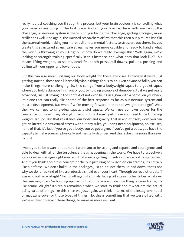really not just coaching you through the process, but your brain obviously is controlling what your muscles are doing in the first place. And so, your brain is there with you facing the challenge, or nervous system is there with you facing the challenge, getting stronger, more resilient as well. And again, the Harvard researchers affirm that this then out pictures itself in the external world, making you more resilient to mental factors, to stressors out there. So, you create this structured stress, safe stress makes you more capable and ready to handle what the world is throwing at you. Alright? So how do we really leverage this? Well, again, we're looking at strength training specifically in this instance, and what does that look like? This means lifting weights, so squats, deadlifts, bench press, pull-downs, pull-ups, pushing and pulling with our upper and lower body.

But this can also mean utilizing our body weight for these exercises. Especially if we're just getting started, these are all incredibly viable things for us to do. Even advanced folks, you can make things more challenging. So, this can go from a bodyweight squat to a goblet squat where you hold a dumbbell in front of you, to holding a couple of dumbbells, to if we get really advanced, I'm just saying in the context of not even being in a gym with a barbel on your back, let alone that can really elicit some of the best response as far as our nervous system and muscle development. But what if we're moving forward in that bodyweight paradigm? Well, then we can get to single-leg squats, pistol squats. We can use our own bodies for the resistance. So, when I say strength training, this doesn't just mean you need to be throwing weights around. But that resistance, our body, and gravity, that in and of itself, wow, you can get an incredible structured stress without any rules, you don't need equipment, no excuses, none of that. It's just if you've got a body, you've got a gym. If you've got a body, you have the capacity to make yourself physically and mentally stronger. And this is the time more than ever to do it.

I want you to be a warrior out here. I want you to be strong and capable and courageous and able to deal with all of the turbulence that's happening in the world. We have to proactively get ourselves stronger right now, and that means getting ourselves physically stronger as well. And if you think about the concept or the out-picturing of muscle on our frames, it's literally like a defense. We don't build up the packages just to bounce them up and down, that's not why we do it. It's kind of like a protective shield over your heart. Through our evolution, stuff was wild out here, alright? Facing off against animals, facing off against other tribes, whatever the case might. You're building up, having that muscle is a protective thing on your frame, it's like armor. Alright? It's really remarkable when we start to think about what are the actual utility value of things like this, then we just, again, we think in terms of the Instagram model or magazine cover or those types of things. No, this is something that we were gifted with, we've evolved to enact these things, to make us more resilient.

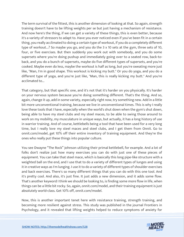The term survival of the fittest, this is another dimension of looking at that. So again, strength training doesn't have to be lifting weights per se but just having a mechanism of resistance. And now here's the thing, if we can get a variety of these things, this is even better, because it's a variety of stressors to adapt to. Have you ever noticed even if you've been fit in a certain thing, you really acclimated to doing a certain type of workout, if you do a completely different type of workout...? So maybe you go, and you do the 3 x 10 sets at the gym, three sets of 10, four, or five exercises. But then suddenly you work out with somebody, and you do some supersets where you're doing pushup and immediately going over to a seated row, back-toback, and you do a bunch of supersets, maybe do five different types of supersets, and you're cooked. Maybe even do less, maybe the workout is half as long, but you're sweating more just like, "Man, I'm in good shape. This workout is kicking my butt." Or you do yoga, and you do a different type of yoga, and you're just like, "Man, this is really kicking my butt." And you're acclimated to...

That category, but that specific one, and it's not that it's harder on you physically. It's harder on your nervous system because you're doing something different. That's the thing. And so, again, change it up, add in some variety, especially right now, try something new. Add in a little bit more unconventional training, because we live in unconventional times. This is why I really love these tools that I have, especially when the world's shut down when the gym's shut down, being able to have my steel clubs and my steel maces, to be able to swing those around to work on my mobility, my musculature in unique ways, but actually, it has a long history of use in warrior training. And of course, kettlebells being a tool that have been used for a very long time, but I really love my steel maces and steel clubs, and I get them from Onnit. Go to onnit.com/model, get 10% off their entire inventory of training equipment. And they're the ones who really put these things into popular culture.

You see Dwayne "The Rock" Johnson utilizing their primal kettlebell, for example. And a lot of folks don't realize just how many exercises you can do with just one of these pieces of equipment. You can take that steel mace, which is basically this long pipe-like structure with a weighted ball on the end, and I use that to do a variety of different types of lunges and using it in creative ways as I'm lunging. I use it to do a variety of different types of shoulder exercises and back exercises. There's so many different things that you can do with this one tool. And it's pretty cool. And also, it's just fine. It just adds a new dimension, and it adds some flow. That's another keyword I think we should be looking to, is finding some more flow in life, when things can be a little bit rocky. So, again, onnit.com/model, and their training equipment is just absolutely world-class. Get 10% off, onnit.com/model.

Now, this is another important tenet here with resistance training, strength training, and becoming more resilient against stress. This study was published in the journal Frontiers in Psychology, and it revealed that lifting weights helped to reduce symptoms of anxiety for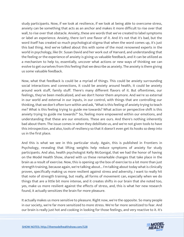study participants. Now, if we look at resilience, if we look at being able to overcome stress, anxiety can be something that acts as an anchor and makes it more difficult to rise over that wall, to rise over that obstacle. Anxiety, these are words that we've created to label symptoms or label an experience. Anxiety, there isn't one flavor of it. And it's not that it's bad, but the word itself has created so much psychological stigma that when the word comes up, it's just this bad thing. And we've talked about this with some of the most renowned experts in the world in psychology, like Dr. Susan David and her work out of Harvard, and understanding that the feeling or the experience of anxiety is giving us valuable feedback, and it can be utilized as a mechanism to help to, essentially, uncover what actions or new ways of thinking we can evolve to get ourselves from this feeling that we describe as anxiety. The anxiety is there giving us some valuable feedback.

Now, what that feedback is could be a myriad of things. This could be anxiety surrounding social interactions and connections, it could be anxiety around health, it could be anxiety around work stuff, family stuff. There's many different flavors of it. But oftentimes, our feelings, they've been medicalized, and we don't honor them anymore. And we're so external in our world and external in our inputs, in our control, with things that are controlling our thinking, that we don't often turn within and ask, "What is this feeling of anxiety trying to teach me? What is this feeling trying to guide me towards? What action or perspective shift is this anxiety trying to guide me towards?" So, feeling more empowered within our emotions, and understanding that these are our emotions. These are ours. And there's nothing inherently bad about them. The issue comes in when they debilitate us, and we're not given tools to have this introspection, and also, tools of resiliency so that it doesn't even get its hooks so deep into us in the first place.

And this is what we see in this particular study. Again, this is published in Frontiers in Psychology, revealing that lifting weights help reduce symptoms of anxiety for study participants. And also, health psychologist Kelly McGonigal, that we had the honor of having on the Model Health Show, shared with us these remarkable changes that take place in the brain as a result of exercise. Now, this is opening up the box of exercise to a lot more than just strength training, because again, we're talking about... I'm talking about today what is clinically proven, specifically making us more resilient against stress and adversity, I want to really hit that note of strength training, but really, all forms of movement can, especially when we do things that are a little bit more intense, and it creates shifts in our brain that she noted too, yes, make us more resilient against the effects of stress, and, this is what her new research found, it actually sensitizes the brain for more pleasure.

It actually makes us more sensitive to pleasure. Right now, we're the opposite. So many people in our society, we're far more sensitized to more stress. We're far more sensitized to fear. And our brain is really just hot and cooking in looking for those feelings, and very reactive to it. It's

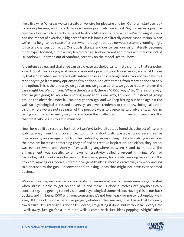like a live wire. Whereas we can create a live wire for pleasure and joy. Our brain starts to look for more pleasure, and it starts to react more positively towards it. So, it creates a positive feedback loop, which is pretty remarkable. And a little bonus here, when we're looking at stress and the impact of exercise, a big part of stress is how it can literally create tunnel vision. When we're in a heightened state of stress, when that sympathetic nervous system is running high, it literally changes our focus. Our pupils change and our senses, our vision literally becomes more hyper-focused, but in a very limited range. And we talked about this with neuroscientist Dr. Andrew Huberman out of Stanford, recently on the Model Health Show.

And intense stress and challenge can also create psychological tunnel vision, and that's another aspect. So, it creates a physical tunnel vision and a psychological tunnel vision, and what I mean by that is that when we're faced with intense stress and challenge and adversity, we have this tendency to go from many options to few options. And oftentimes, from many options to only one option. This is the one way, we got to run, we got to do this, we got to hide, whatever the case might be. We go from, "Where there's a will, there's 10,000 ways," to, "There's one way, and I'm just going to keep hammering away at this one way, this one... " Instead of going around the obstacle, under it, I can only go through, and we keep hitting our head against the wall. So psychological stress and adversity can have a tendency to create psychological tunnel vision, where we are not seeing all of the possible ways to overcome said adversity, which I'm telling you, there's so many ways to overcome the challenges in our lives, so many ways. But that creativity begins to get diminished.

Now, here's a little resource for that. A Stanford University study found that the act of literally walking away from the problem, i.e., going for a short walk, was able to increase creative inspiration by an average of 60% for test subjects, versus sitting. Literally walking away from the problem increases something they defined as creative inspiration. The effect, they noted, was evident while and shortly after walking anywhere between 5 and 16 minutes. The enhancement was specific to a flavor of creativity called divergent thinking. We had psychological tunnel vision because of the stress, going for a walk, walking away from the problem, moving our bodies, created divergent thinking, more creative ways to work around said obstacle to the goal. Unconventional thinking, ideas that might not have even seemed obvious.

We're so creative, we have so much capacity for resourcefulness, but sometimes we get limited when stress is able to get on top of us and make us close ourselves off, physiologically contracting, and getting tunnel vision and psychological tunnel vision. Having this in our back pocket, and I'm being 1000 with you, sometimes it's not been easy for me to just unplug, walk away. If I'm working on a particular project, whatever the case might be, I have that tendency toward like, "I'm getting this done." I'm locked, I'm getting it done. But without fail, every time I walk away, just go for a 15-minute walk, I come back, just ideas popping. Alright? Ideas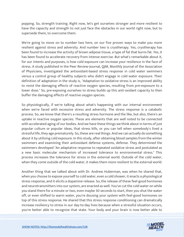popping. So, strength training. Right now, let's get ourselves stronger and more resilient to have the capacity and strength to not just face the obstacles in our world right now, but to supersede them, to overcome them.

We're going to move on to number two here, on our five proven ways to make you more resilient against stress and adversity. And number two is cryotherapy. Yes, cryotherapy has been found to increase the activity of brown adipose tissue, a type of fat that burns fat. Yes, it has been found to accelerate recovery from intense exercise. But what's remarkable about it, for our intents and purposes, is how cold exposure can increase your resilience in the face of stress. A study published in the Peer Review-Journal, QJM, Monthly Journal of the Association of Physicians, investigated the antioxidant-based stress response in cold water swimmers versus a control group of healthy subjects who didn't engage in cold water exposure. Their definition of adaptation in the study is, "Adaptation to oxidative stress is an improved ability to resist the damaging effects of reactive oxygen species, resulting from pre-exposure to a lower dose." So, pre-exposing ourselves to stress builds up this anti-oxidant capacity to then buffer the damaging effects of reactive oxygen species.

So physiologically, if we're talking about what's happening with our internal environment when we're faced with excessive stress and adversity. The stress response is a catabolic process. So, we know that there's a resulting stress hormone and the like, but also, there's an uptake in reactive oxygen species. These are elements that are well noted to be connected with accelerated aging of our bodies. And we have these things we think about in terms of just popular culture or popular ideas, that stress kills, or you can tell when somebody's lived a stressful life, they age prematurely. So, these are real things. And we can actually do something about it by utilizing cold exposure. In this study, after obtaining blood samples from the winter swimmers and examining their antioxidant defense systems, defense. They determined the swimmers developed "An adaptative response to repeated oxidative stress and postulated as a new basic molecular mechanism of increased tolerance to environmental stress." This process increases the tolerance for stress in the external world. Outside of the cold water, when they come outside of the cold water, it makes them more resilient to the external world.

Another thing that we talked about with Dr. Andrew Huberman, was when he shared that, when you choose to expose yourself to cold water, even a cold shower, it enacts a physiological stress response, and it elicits a dopamine release. So, the release of these feel-good hormones and neurotransmitters into our system, are enacted as well. You've cut the cold water on while you stand there for a minute or two, even maybe 30 seconds to start, then you shut the water off, or even shifted to warm water, you're dousing your system with feel-good hormones on top of this stress response. He shared that this stress response conditioning can dramatically increase resiliency to stress in our day-to-day lives because when a stressful situation occurs, you're better able to recognize that state. Your body and your brain is now better able to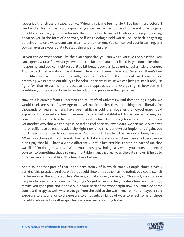recognize that stressful state. It's like, "Whoa, this is me feeling alert. I've been here before. I can handle this." In that cold exposure, you can extract a couple of different physiological benefits. In one way, you can relax into the moment with that cold water come on you, coming down on you in the form of a shower, or if we're doing a cold water... An ice bath, or getting ourselves into cold water, you can relax into that moment. You can control your breathing, and you can exercise your ability to stay calm under pressure.

Or you can do what seems like the exact opposite, you can white-knuckle the situation. You can express yourself however you want, to the fact that you don't like this, you don't like what's happening, and you can fight just a little bit longer, you can keep going just a little bit longer. And the fact that you don't like it doesn't deter you, it won't deter you. So again, there's two modalities we can step into this with, where we relax into the moment, we focus on our breathing, we exercise our ability to be calm under pressure, or we can just get into it and just fight for that extra moment because both approaches and everything in between will condition your body and brain to better adapt and persevere through stress.

Now, this is coming from Huberman Lab at Stanford University. And these things, again, we would think are sort of New Age or novel, but in reality, these are things that literally for thousands of years, humans have been utilizing cold thermogenesis or cryotherapy, cold exposure, for a variety of health reasons that are well established. Today, we're utilizing our conventional science to affirm what our ancestors have been doing for a long time. So, this is yet another way that we can, again, based on real peer-reviewed data, we can make ourselves more resilient to stress and adversity right now. And this is a low-cost implement. Again, you don't need a membership somewhere. You can just literally... The keywords here, he said, "When you choose it, it's different." I've had to take a cold shower when I was a kid because we didn't pay that bill. That's a whole different... That is just terrible. There's no part of me that was like, "I'm doing this, I'm... " When you choose psychologically when you choose to expose yourself to something that's so uncomfortable, man, that really, as the data shows, it helps to build resiliency. It's just like, "I've been here before."

And also, another part of that is the consistency of it, which could... Couple times a week, utilizing this practice. And so, we've got cold shower, but then, as he noted, you could switch to the warm at the end, if you like. We've got cold shower, we've got... This study was done on people who swim in cold weather. So, if you've got access to that, maybe a lake or something, maybe you got a pool and it's cold out in your neck of the woods right now. You could do some contrast therapy as well, where you go from the cold to the warm environment, maybe a cold exposure to a sauna, or cold exposure to a hot tub, all kinds of ways to enact some of these benefits. We've got cryotherapy chambers are really popping today.

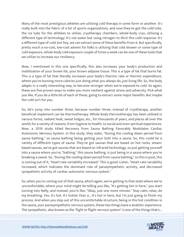Many of the most prestigious athletes are utilizing cold therapy in some form or another. It's really built into the fabric of a lot of sports organizations, and now they've got the cold tubs, the ice tubs for the athletes to utilize, cryotherapy chambers, whole-body cryo, utilizing a different type of technology. It's not water but using nitrogen to illicit this cold response. It's a different type of cold, but hey, we can extract some of these benefits from it. But specifically, pretty much a no-cost, low-cost advent for folks is utilizing that cold shower or some type of cold exposure, whole-body cold exposure couple of times a week can be one of these tools that we utilize to increase our resiliency.

Now, I mentioned in this one specifically, this also increases your body's production and mobilization of your brown fat, your brown adipose tissue. This is a type of fat that burns fat. This is a type of fat that literally increases your body's thermic rate or thermic expenditure, where you're burning more calories just doing what you always do, just living life. So, the body adapts in a really interesting way, to become stronger when we're exposed to cold. So again, these are five proven ways to make you more resilient against stress and adversity. Pick what you like. If you do a little bit of each of these, going to extract some major benefits. But maybe the cold isn't for you.

So, let's jump into number three, because number three, instead of cryotherapy, another beneficial implement can be thermotherapy. Whole-body thermotherapy has been utilized in various forms, radiant heat, sweat lodges, etc., for thousands of years, and places all over the world, for a variety of reasons, from hygiene to health, to social and even spiritual experiences. Now, a 2019 study titled Recovery from Sauna Bathing Favorably Modulates Cardiac Autonomic Nervous System. In this study, they state, "During the cooling down period from sauna bathing," so sauna bathing being getting your butt into a sauna. So, this could be a variety of different types of sauna. They've got saunas that are based on hot rocks, steambased saunas, we've got saunas that are based on infrared technology, so just getting yourself into a sauna where you're, "bathing," this sauna bathing, is just being in a sauna where you're breaking a sweat. So, "During the cooling down period from sauna bathing," so this is post, this is coming out of it, "Heart rate variability increased." This is good. Listen. "Heart rate variability increased, which indicates the dominant role of parasympathetic activity, and decreased sympathetic activity of cardiac autonomic nervous system."

So, when you're coming out of that sauna, which again, we're getting to that state where we're uncomfortable, where your mind might be telling you like, "It's getting hot in here," you start turning into Nelly, and instead, you're like, "Okay, just one more minute." Stay calm, relax, do my breathing. Yes, it's hot. It's hotter than a… It's hot in here, but I'm just going to finish my process. And when you step out of this uncomfortable structure, being in this hot condition in the sauna, your parasympathetic nervous system, these two things have a dualistic experience. The sympathetic, also known as the "fight or flight nervous system" is one of the things that's...

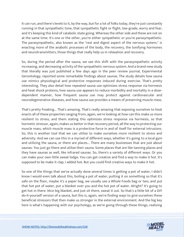It can run, and there's levels to it, by the way, but for a lot of folks today, they're just constantly running in that sympathetic tone, that sympathetic fight or flight, low-grade, worry and fear, and it's keeping this kind of catabolic state going. Whereas the other side and these are not on at the same time. It's one or the other, you're either sympathetic or you're parasympathetic. The parasympathetic, also known as the "rest and digest aspect of the nervous system," is enacting more of the anabolic processes of the body, the recovery, the tonifying hormones and neurotransmitters, those things that really help us in relaxation and recovery.

So, during the period after the sauna, we see this shift with the parasympathetic activity increasing, and decreasing activity of the sympathetic nervous system. And a brand-new study that literally was just published a few days ago in the peer review journal, Experimental Gerontology, reported some remarkable findings about saunas. The study details how sauna use mimics physiological and protective responses induced during exercise. That's pretty interesting. They also detail how repeated sauna use optimizes stress response via hormesis and heat shock proteins, how sauna use appears to reduce morbidity and mortality in a dosedependent manner, how frequent sauna use may protect against cardiovascular and neurodegenerative diseases, and how sauna use provides a means of preserving muscle mass.

That's pretty freaking... That's amazing. That's really amazing that exposing ourselves to heat enacts all of these properties ranging from, again, we're looking at how can this make us more resilient to stress, and them stating this optimizes stress response via hormesis, so that hormetic stressor, again, makes us better in that recovery period, all the way to protecting our muscle mass, which muscle mass is a protective force in and of itself for external intrusions. So, this is another tool that we can utilize to make ourselves more resilient to stress and adversity. And we can use this in a myriad of different ways, whether it's going to a local gym and utilizing the sauna, or there are places... There are many businesses that are just about saunas. You just go there and utilize their sauna. Some places that are like tanning places and they have saunas as well, like infrared saunas. So, there's a variety of different ways. Or you can make your own little sweat lodge. You can get creative and find a way to make it hot. It's supposed to be make it clap, I added hot. But you could find creative ways to make it hot.

So one of the things that we've actually done several times is getting a pot of water, I didn't know I would even talk about this, boiling a pot of water, putting it on something so that it's safe on the floor, maybe it's a paper bag, we usually use a Whole Foods bag or two, and put that hot pot of water, put a blanket over you and the hot pot of water. Alright? It's going to get hot in there. Nice big blanket, and just sit there, sweat it out. So that's a little bit of a DIY do-it-yourself version of a sauna, but this is, again, we're finding ways to give ourselves these beneficial stressors that then make us stronger in the external environment. And the big key here is what's happening with our psychology, as we're going through these things, realizing

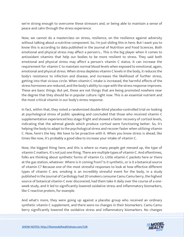we're strong enough to overcome these stressors and, or being able to maintain a sense of peace and calm through the stress experience.

Now, we cannot do a masterclass on stress, resilience, on the resilience against adversity without talking about a nutritive component. So, I'm just sliding this in here. But I want you to know this is according to data published in the Journal of Nutrition and Food Sciences. Both emotional and physical stress may affect a person's... This is the big player when it comes to antioxidant vitamins that help our bodies to be more resilient to stress. They said both emotional and physical stress may affect a person's vitamin C status. It can increase the requirement for vitamin C to maintain normal blood levels when exposed to emotional, again, emotional and physical stress. When stress depletes vitamin C levels in the body, it reduces the body's resistance to infection and disease, and increases the likelihood of further stress, getting into that vicious circle. When vitamin C intake is increased, the harmful effects of the stress hormones are reduced, and the body's ability to cope with the stress response improves. These are basic things. But yet, these are not things that are being promoted nowhere near the degree that they should be in popular culture right now. This is an essential nutrient and the most critical vitamin in our body's stress response.

In fact, within that, they noted a randomized double-blind placebo-controlled trial on looking at psychological stress of public speaking and concluded that those who received vitamin C supplementation experienced less stage fright and showed a faster recovery of cortisol levels, indicating that the adrenal glands which produce cortisol were functioning better. So, it's helping the body to adapt to the psychological stress and recover faster when utilizing vitamin C. Now, here's the key. We have to be proactive with it. When you know stress is ahead, like times like now, it's probably a good idea to increase your intake of vitamin C.

Now, the biggest thing here, and this is where so many people get messed up, the type of vitamin C matters. It's not just one thing. There are multiple types of vitamin C. And oftentimes, folks are thinking about synthetic forms of vitamin Cs. Little vitamin C packets here or there at the gas station, whatever. Where is it coming from? Is it synthetic, or is it a botanical source of vitamin C? Because one of the most stressful responses to look at how effective different types of vitamin C are, smoking is an incredibly stressful event for the body, in a study published in the Journal of Cardiology had 20 smokers consume Camu Camu berry, the highest source of botanical vitamin C ever discovered, had them take it daily over the course of a oneweek study, and it led to significantly lowered oxidative stress and inflammatory biomarkers, like C-reactive protein, for example.

And what's more, they were going up against a placebo group who received an ordinary synthetic vitamin C supplement, and there were no changes in their biomarkers. Camu Camu berry significantly lowered the oxidative stress and inflammatory biomarkers. No changes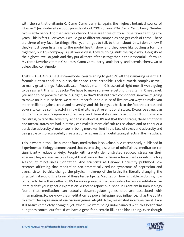with the synthetic vitamin C. Camu Camu berry is, again, the highest botanical source of vitamin C. Just under a teaspoon provides about 700% of your RDA. Camu Camu berry. Number two is amla berry. And then acerola cherry. These are three of my all-time favorite things for years. This is facts. For years, I would go to different companies and get each of these. These are three of my favorite things. Finally, and I got to talk to them about this. I don't know if they've just been listening to the model health show and they were like putting a formula together, but this company is just world-class, they're doing stuff the right way. Integrity at the highest level, organic and they put all three of these together in their essential C formula. My three favorite vitamin C sources, Camu Camu berry, amla berry, and acerola cherry. Go to paleovalley.com/model.

That's P-A-L-E-O-V-A-L-L-E-Y.com/model, you're going to get 15% off their amazing essential C formula. Got to check it out, also their snacks are incredible. Their turmeric complex as well, so many great things. Paleovalley.com/model, vitamin C is essential right now, if we're going to be resilient, this is not a joke. We have to make sure we're getting this vitamin C need met, you need to be proactive with it. Alright, so that's that nutritive component, now we're going to move on in our list here, we're at number four on our list of five proven ways to make you more resilient against stress and adversity, and this brings us back to the fact that stress and adversity can be so impactful in how it elicits negative emotional states. Excessive stress can put us into cycles of depression or anxiety, and these states can make it difficult for us to face the stress, to face the adversity, and to rise above it. It's not that those states, these emotional and mental states are bad, but they can make it more difficult to rise above and to conquer a particular adversity. A major tool in being more resilient in the face of stress and adversity and being able to more gracefully create a buffer against their debilitating effects in the first place.

This is where a tool like number four, meditation is so valuable. A recent study published in Experimental Biology demonstrated that even a single session of mindfulness meditation can significantly reduce anxiety. People with anxiety demonstrated reduced stress on their arteries, they were actually looking at the stress on their arteries after a one-hour introductory session of mindfulness meditation. And scientists at Harvard University published new research affirming that meditation can dramatically reduce symptoms of depression and even... Listen to this, change the physical make-up of the brain. It's literally changing the physical make-up of the brain of these test subjects. Meditation, how is it able to do this, how is it able to have these effects? It's far more powerful than we realize because meditation can literally shift your genetic expression. A recent report published in Frontiers in Immunology found that meditation can actually down-regulate genes that are associated with inflammation. So, we know that meditation is a powerful epigenetic influence, it has the ability to affect the expression of our various genes. Alright. Now, we existed in a time, we still are still hasn't completely changed yet, where we were being indoctrinated with this belief that our genes control our fate. If we have a gene for a certain fill in the blank thing, even though

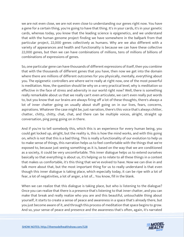we are not even close, we are not even close to understanding our genes right now. You have a gene for a certain thing, you're going to have that thing. It's in your cards, it's in your genetic cards, whereas today, you know that the leading science is epigenetics, and we understand that with the human genome project finding we have somewhere in the ballpark from that particular project, 22,000 genes collectively as humans. Why are we also different with a variety of appearances and health and functionality is because we can have these collective 22,000 genes, but then we can have combinations of millions, tens of millions of billions of combinations of expressions of genes.

So, one particular gene can have thousands of different expressions of itself, then you combine that with the thousands of different genes that you have, then now we get into the domain where there are millions of different outcomes for you physically, mentally, everything about you. The epigenetic controllers are where we're really at right now, one of the most powerful is meditation. Now, the question should be why on a very practical level, why is meditation so effective in the face of stress and adversity in our world right now? Well, there is something really remarkable about us that we really can't even articulate, we can't even really put words to, but you know that our brains are always firing off a lot of these thoughts, there's always a lot of inner chatter going on usually about stuff going on in our lives, fears, concerns, aspirations. Whatever the case might be, just narration, there's this voice that's always chitter, chatter, chitty, chitty, chat, chat, and there can be multiple voices, alright, straight up conversation, ping pong going on in there.

And if you're to tell somebody this, which this is an experience for every human being, you could get locked up, alright, but the reality is, this is how the mind works, and with this going on, which is not that this is a bad thing. This is really a functionality of our evolution to help us to make sense of things, this narration helps us to feel comfortable with the things that we're exposed to, because just seeing something as it is, based on the way that we are conditioned as a society, it could be very uncomfortable. This inner dialogue helps us to extend ourselves basically so that everything is about us, it's helping us to relate to all these things in a context that makes us comfortable, it's this thing that we've evolved to have. Now we can dive in and talk more about that, but the most important thing for us to really understand is that even though this inner dialogue is taking place, which especially today, it can be ripe with a lot of fear, a lot of negativities, a lot of anger, a lot of... You know, fill in the blank.

When we can realize that this dialogue is taking place, but who is listening to the dialogue? Once you can realize that there is a presence that's listening to that inner chatter, and you can make that break and really realize who you are and this beautiful, untouchable thing about yourself, it starts to create a sense of peace and awareness in a space that's already there, but you just become aware of it, and through this process of meditation that space begins to grow. And so, your sense of peace and presence and the awareness that's often, again, it's narrated

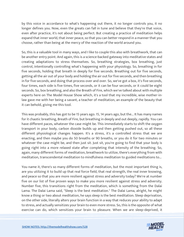by this voice in accordance to what's happening out there, it no longer controls you, it no longer defines you. Now, even the greats can fall in tune and believe that they're that voice, even after practice, it's not about being perfect. But creating a practice of meditation helps expand that inner world, that inner peace, so that you can better respond in a manner that you choose, rather than being at the mercy of the reaction of the world around you.

So, this is a valuable tool in many ways, and I like to couple this also with breathwork, that can be another entry point. And again, this is a science-backed gateway into meditative states and creating adaptations to stress themselves. So, breathing strategies, box breathing, just control, intentionally controlling what's happening with your physiology. So, breathing in for five seconds, holding that breath in deeply for five seconds. Breathing out for five seconds, getting all the air out of your body and holding the air out for five seconds, and then breathing in for five seconds, and doing that process over and over. So, we've got a box, it's five seconds, four times, each side is five times, five seconds, or it can be four seconds, or it could be eight seconds. So, box breathing, and also the Breath of Fire, which we've talked about with multiple experts here on The Model House Show which, it's a tool that my incredible, wise mother-inlaw gave me with her being a savant, a teacher of meditation, an example of the beauty that it can behold, giving me this tool.

This was probably, this has got to be 15 years ago. 15, 14 years ago, but the... It has many names for it chaotic breathing, Breath of Fire, but breathing in deeply and out deeply, rapidly. You can have different paces, whatever the case might be. This immediately starts to shift the oxygen transport in your body, carbon dioxide builds up and then getting pushed out, so all these different physiological changes happen. It's a stress, it's a controlled stress that we are enacting, and then maybe you do 50 breaths or 90 breaths, or you do it for two minutes or whatever the case might be, and then just sit. Just sit, you're going to find that your body is going right into a more relaxed state after completing that intensity of the breathing. So, again, many different forms of meditation, breathwork to utilize, there's everything from with meditation, transcendental meditation to mindfulness meditation to guided meditations to...

You name it, there's so many different forms of meditation, but the most important thing is, are you utilizing it to build up that real force field, that real strength, the real inner knowing, and peace so that you are more resilient against stress and adversity today? We're at number five on our list of five proven ways to make you more resilient against stress and adversity. Number five, this transitions right from the meditation, which is something from the Dalai Lama. The Dalai Lama said, "Sleep is the best meditation." The Dalai Lama, alright, he might know a thing or two about meditation, he says sleep is the best meditation. Sleep deprivation, on the other side, literally alters your brain function in a way that reduces your ability to adapt to stress, and actually sensitizes your brain to even more stress. So, this is the opposite of what exercise can do, which sensitizes your brain to pleasure. When we are sleep-deprived, it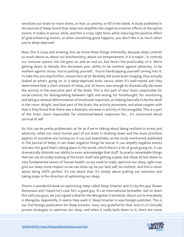sensitizes our brain to more stress, or fear, or anxiety, or fill in the blank. A study published in the Journal of Sleep found that sleep loss amplifies the negative emotive effects of disruptive events. It makes it worse, while, and this is crazy right here, while reducing the positive effect of goal-enhancing events, so when something good happens, you don't like it as much when you're sleep-deprived.

Now, this is crazy and amazing, but we know these things inherently, because sleep controls so much about us, about our biochemistry, about our temperament. It is a major... It controls our immune system, the list goes on and on and on, but here's the practicality of it. We're getting down to literally this decreases your ability to be resilient against adversity, to be resilient against stress. You're putting yourself... You're handicapping yourself coming into it. To take this one step further, researchers at UC Berkeley did some brain imaging, they actually looked at what's going on in a sleep-deprived brain versus when it's well-rested and they determined that a short amount of sleep, just 24 hours, was enough to dramatically decrease the activity in the executive part of the brain. This is the part of your brain responsible for social control, for distinguishing between right and wrong, for forethought, for monitoring and being a rational determination of emotional responses, so helping basically to be the adult in the room. Alright. And that part of the brain, the activity plummets, and what couples with that is they found that there was a dramatic increase in activity in the amygdala. This is a part of the brain more responsible for emotional-based responses for... It's concerned about survival of self.

So, this can be pretty problematic as far as if we're talking about being resilient to stress and adversity, when our more human part of our brain is shutting down and the more primitive aspects of ourselves are turning on, it can just exacerbate, as the study mentioned, published in The Journal of Sleep, it can make negative things far worse. It can amplify negative events and also the good that's taking place in the world, which there's a lot of good going on. It can dramatically diminish our ability to even acknowledge that stuff. So pretty remarkable things that we can do today looking at the brain itself and getting a peek, but these all boil down to very fundamental tenets of human health, so we need to really optimize our sleep right now, give our sleep some respect so we can show up, be our best self, be resilient. And this is never about being 100% perfect. It's not about that. It's simply about putting our intention and taking steps in the direction of optimizing our sleep.

There's a wonderful book on optimizing sleep called Sleep Smarter and it's by this guy Shawn Stevenson and I heard he's cool, he's a good guy. It's an international bestseller. Get to share this with you guys, we just signed a deal for the Mongolian translation. Shout out to everybody in Mongolia. Apparently, it seems they want it. Sleep Smarter is now foreign publisher. This is our 21st foreign publication for Sleep Smarter. Very, very grateful for that. And it's 21 clinically proven strategies to optimize our sleep, and when it really boils down to it, there are some

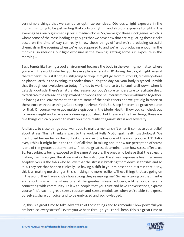very simple things that we can do to optimize our sleep. Obviously, light exposure in the morning is going to be just setting that cortisol rhythm, and also our exposure to light in the evenings has really gummed up our circadian clocks. So, we've got these clock genes, which is where some of the most leading-edge signs that we have now that are regulating these clocks based on the time of day can really throw these things off and we're producing stressful chemicals in the evening when we're not supposed to and we're not producing enough in the morning, so reducing our light exposure in the evening, getting some sun exposure in the morning...

Basic tenets like having a cool environment because the body in the evening, no matter where you are in the world, whether you live in a place where it's 110 during the day, at night, even if the temperature is still hot, it's still going to drop. It might go from 110 to 100, but everywhere on planet Earth in the evening, it's cooler than during the day. So, your body is synced up with that through our evolution, so today if it has to work hard to try to cool itself down when it gets dark outside, there's a natural decrease in our body's core temperature to facilitate sleep, to facilitate the release of sleep-related hormones and neurotransmitters is all linked together. So having a cool environment, these are some of the basic tenets and we get, dig in more to the science with those things. Good sleep nutrients. Yeah. So, Sleep Smarter is a great resource for that. Of course, we've got multiple episodes in the Model Health Show you can check out for more insight and advice on optimizing your sleep, but these are the five things, these are five things clinically proven to make you more resilient against stress and adversity.

And lastly, to close things out, I want you to make a mental shift when it comes to your belief about stress. This is thanks in part to the work of Kelly McGonigal, health psychologist. We mentioned her earlier in the context of exercise. She has one of the most popular TED Talks ever, I think it might be in the top 10 of all time, in talking about how our perception of stress is one of the greatest determinants, if not the greatest determinant, on how stress affects us. So, test subjects being exposed to the same stressors, the ones who believe that the stress is making them stronger, the stress makes them stronger, the stress response is healthier, more adaptive versus the folks who believe that the stress is breaking them down, is terrible and so it is. They see that happen clinically. So having a shift in your mindset about stress that, "Hey, this is all making me stronger, this is making me more resilient. These things that are going on in the world, they have no idea how strong they're making me." So really taking on that mantle and also this is a time where one of the greatest stress reducers, a little bonus here, is connecting with community. Talk with people that you trust and have conversations, express yourself. It's such a great stress reducer and stress modulator when we're able to express ourselves, share our voice, and to be embraced and acknowledged.

So, this is a great time to take advantage of these things and to remember how powerful you are because every stressful event you've been through, you're still here. This is a great time to